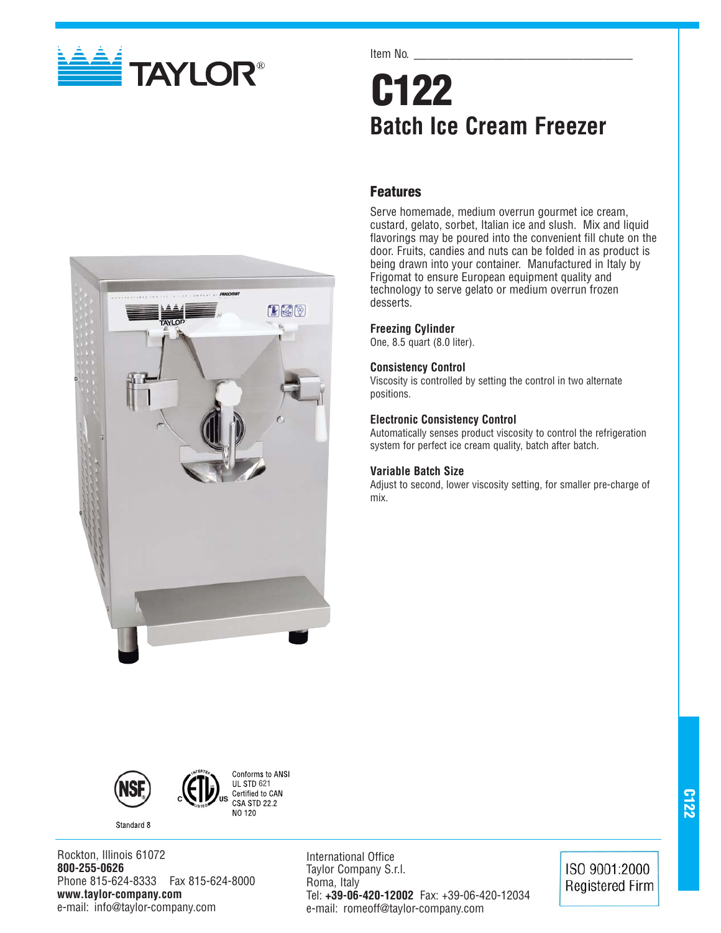

### Item No.

# **C122 Batch Ice Cream Freezer**

### **Features**

Serve homemade, medium overrun gourmet ice cream, custard, gelato, sorbet, Italian ice and slush. Mix and liquid flavorings may be poured into the convenient fill chute on the door. Fruits, candies and nuts can be folded in as product is being drawn into your container. Manufactured in Italy by Frigomat to ensure European equipment quality and technology to serve gelato or medium overrun frozen desserts.

#### **Freezing Cylinder**

One, 8.5 quart (8.0 liter).

#### **Consistency Control**

Viscosity is controlled by setting the control in two alternate positions.

#### **Electronic Consistency Control**

Automatically senses product viscosity to control the refrigeration system for perfect ice cream quality, batch after batch.

### **Variable Batch Size**

Adjust to second, lower viscosity setting, for smaller pre-charge of mix.







Standard 8

Rockton, Illinois 61072 **800-255-0626** Phone 815-624-8333 Fax 815-624-8000 **www.taylor-company.com** e-mail: info@taylor-company.com

International Office Taylor Company S.r.l. Roma, Italy Tel: **+39-06-420-12002** Fax: +39-06-420-12034 e-mail: romeoff@taylor-company.com

ISO 9001:2000 **Registered Firm**